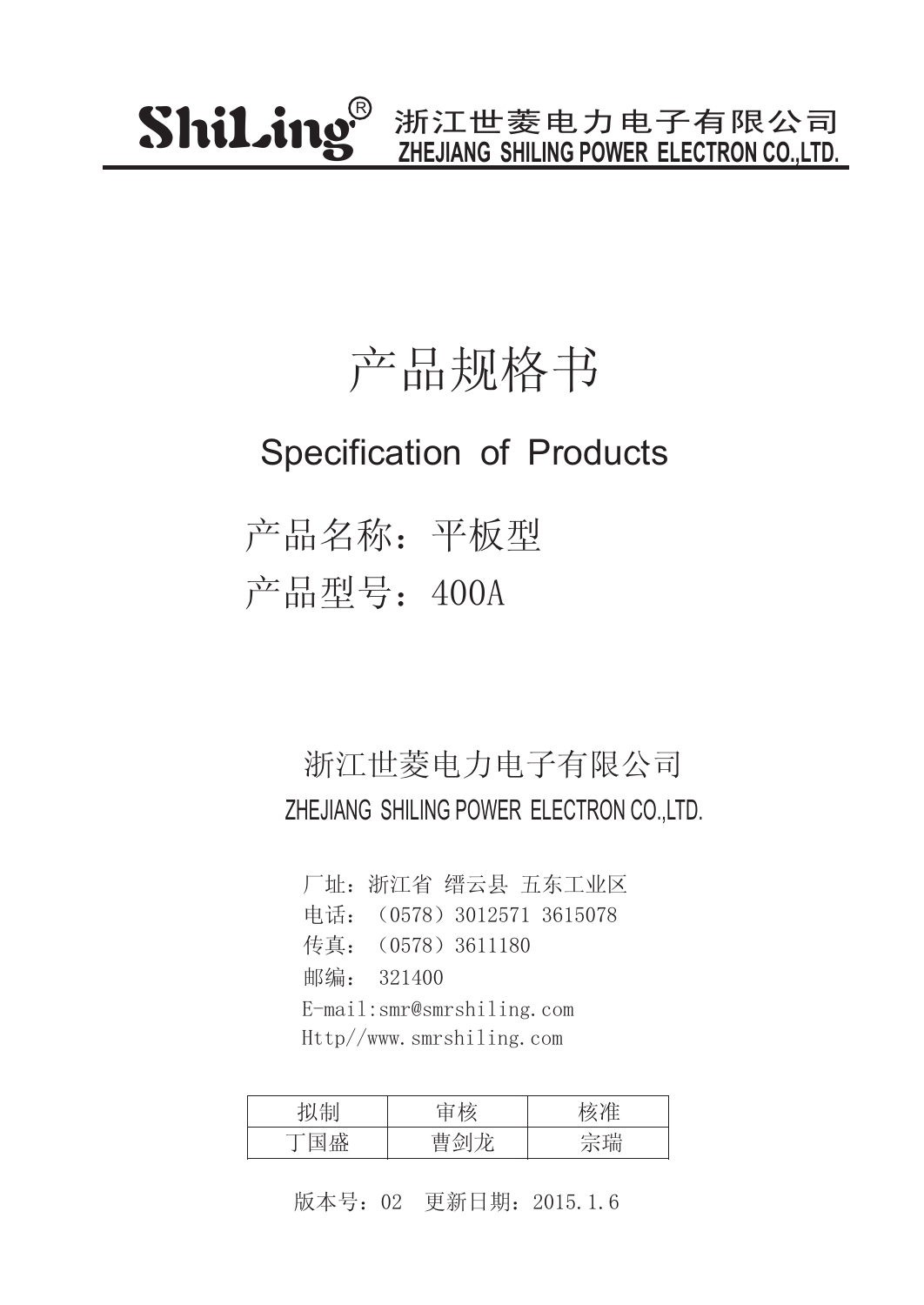### 产品规格书

### Specification of Products

产品名称:平板型 产品型号:400A

### 浙江世菱电力电子有限公司 ZHEJIANG SHILING POWER ELECTRON CO.,LTD.

厂址:浙江省 缙云县 五东工业区 传真:(0578)3611180 邮编: 321400 电话: (0578) 3012571 3615078 E-mail:smr@smrshiling.com Http//www.smrshiling.com

| 山山         | 十六 |            |
|------------|----|------------|
| 工団<br>مسسد | حت | 全瑞<br>טיון |

版本号:02 更新日期:2015.1.6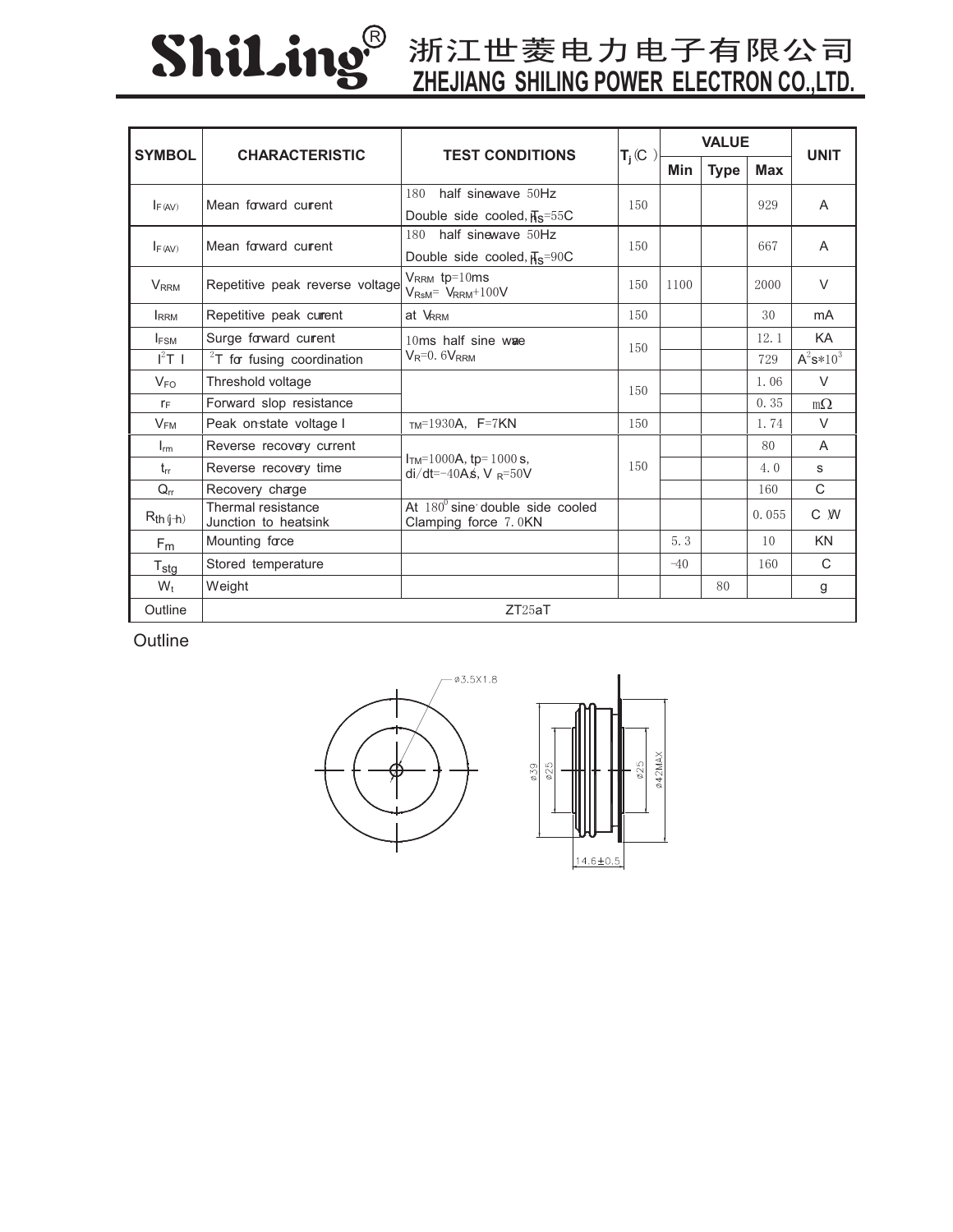# ShiLing®

## **ZHEJIANG SHILING POWER ELECTRON CO.,LTD.**

| <b>SYMBOL</b>                 | <b>CHARACTERISTIC</b>                      | <b>TEST CONDITIONS</b>                                             | $T_i(C)$ | <b>VALUE</b> |             |                | <b>UNIT</b>    |
|-------------------------------|--------------------------------------------|--------------------------------------------------------------------|----------|--------------|-------------|----------------|----------------|
|                               |                                            |                                                                    |          | Min          | <b>Type</b> | <b>Max</b>     |                |
| Mean forward current<br>F(AV) | half sinewave 50Hz<br>180                  | 150                                                                |          |              | 929         | $\overline{A}$ |                |
|                               |                                            | Double side cooled, $\overline{H}_S$ =55C                          |          |              |             |                |                |
| F(AV)                         | Mean forward current                       | half sinewave 50Hz<br>180                                          | 150      |              |             | 667            | A              |
|                               |                                            | Double side cooled, $\overline{\text{H}}_{\text{S}} = 90 \text{C}$ |          |              |             |                |                |
| <b>V</b> <sub>RRM</sub>       | Repetitive peak reverse voltage            | $V_{RRM}$ tp=10ms<br>$V_{\text{RsM}} = V_{\text{RRM}} + 100V$      | 150      | 1100         |             | 2000           | $\vee$         |
| <b>I</b> RRM                  | Repetitive peak current                    | at VRRM                                                            | 150      |              |             | 30             | mA             |
| <b>IFSM</b>                   | Surge forward current                      | 10ms half sine wae<br>$V_R = 0.6V_{RRM}$                           | 150      |              |             | 12.1           | KA             |
| $I^2T$ 1                      | $2T$ for fusing coordination               |                                                                    |          |              |             | 729            | $A^2s*10^3$    |
| $V_{FO}$                      | Threshold voltage                          |                                                                    | 150      |              |             | 1.06           | $\vee$         |
| $r_F$                         | Forward slop resistance                    |                                                                    |          |              |             | 0.35           | $m\Omega$      |
| $V_{FM}$                      | Peak on-state voltage I                    | $TM=1930A$ , F=7KN                                                 | 150      |              |             | 1.74           | $\vee$         |
| $I_{rm}$                      | Reverse recovery current                   | $ITM=1000A$ , tp= 1000 s,<br>di/dt=-40As, V $_{\rm R}$ =50V        | 150      |              |             | 80             | $\overline{A}$ |
| $t_{rr}$                      | Reverse recovery time                      |                                                                    |          |              |             | 4.0            | S              |
| $Q_{rr}$                      | Recovery charge                            |                                                                    |          |              |             | 160            | C              |
| $R_{th (j+h)}$                | Thermal resistance<br>Junction to heatsink | At $180^{\circ}$ sine double side cooled<br>Clamping force 7.0KN   |          |              |             | 0.055          | C W            |
| F <sub>m</sub>                | Mounting force                             |                                                                    |          | 5.3          |             | 10             | <b>KN</b>      |
| $T_{\text{stg}}$              | Stored temperature                         |                                                                    |          | $-40$        |             | 160            | C              |
| $W_t$                         | Weight                                     |                                                                    |          |              | 80          |                | g              |
| Outline                       |                                            | ZT25aT                                                             |          |              |             |                |                |

**Outline**